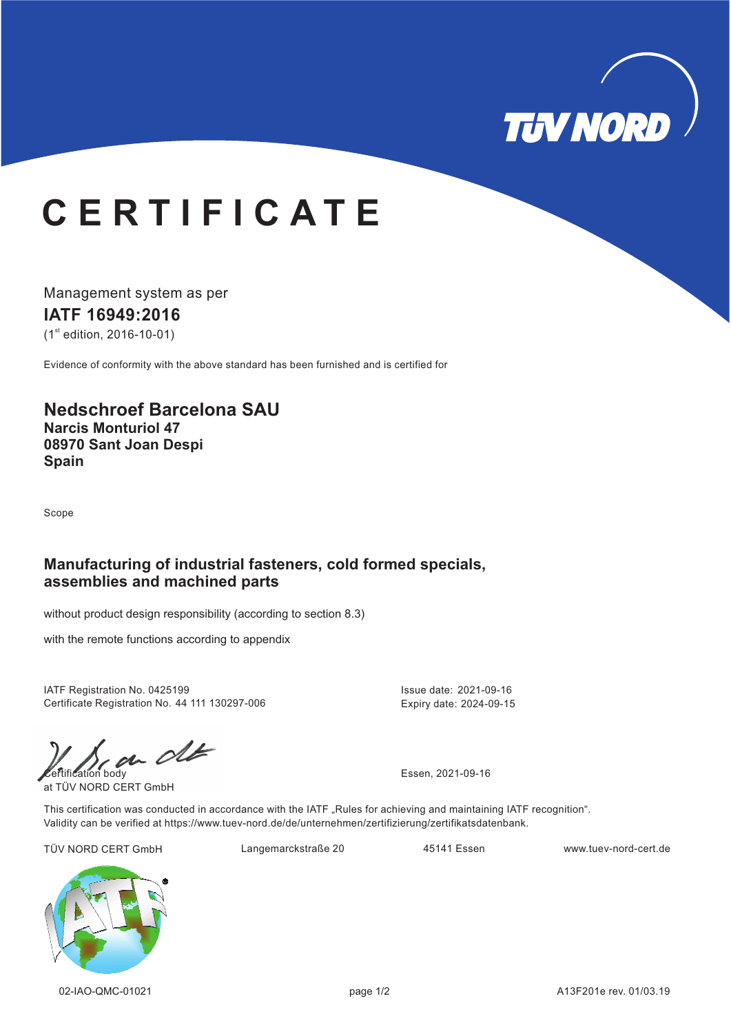

# **C E R T I F I C A T E**

Management system as per **IATF 16949:2016**  $(1<sup>st</sup>$  edition, 2016-10-01)

Evidence of conformity with the above standard has been furnished and is certified for

## **Nedschroef Barcelona SAU Narcis Monturiol 47 08970 Sant Joan Despi Spain**

Scope

#### **Manufacturing of industrial fasteners, cold formed specials, assemblies and machined parts**

without product design responsibility (according to section 8.3)

with the remote functions according to appendix

IATF Registration No. 0425199 Certificate Registration No. 44 111 130297-006

 $\mathcal{C}$ 

at TÜV NORD CERT GmbH

Issue date: 2021-09-16 Expiry date: 2024-09-15

This certification was conducted in accordance with the IATF "Rules for achieving and maintaining IATF recognition". Validity can be verified at https://www.tuev-nord.de/de/unternehmen/zertifizierung/zertifikatsdatenbank.

TÜV NORD CERT GmbH Langemarckstraße 20 45141 Essen www.tuev-nord-cert.de